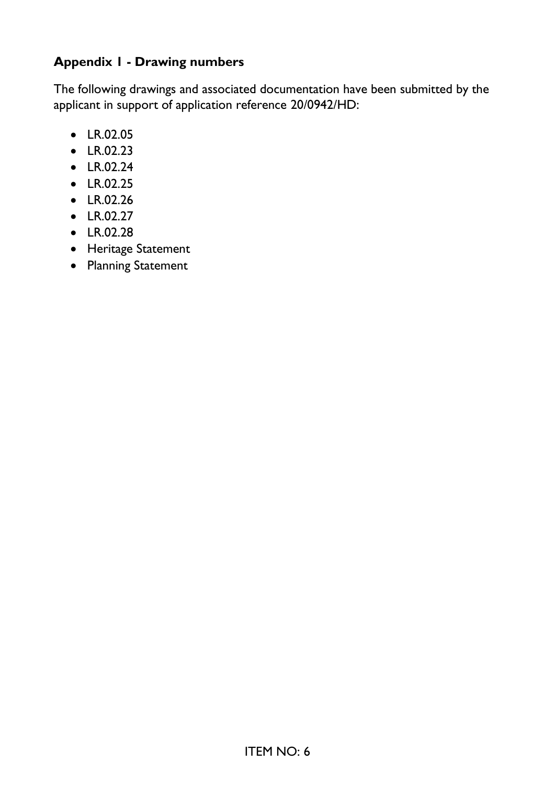## **Appendix 1 - Drawing numbers**

The following drawings and associated documentation have been submitted by the applicant in support of application reference 20/0942/HD:

- LR.02.05
- LR.02.23
- LR.02.24
- LR.02.25
- LR.02.26
- LR.02.27
- LR.02.28
- Heritage Statement
- Planning Statement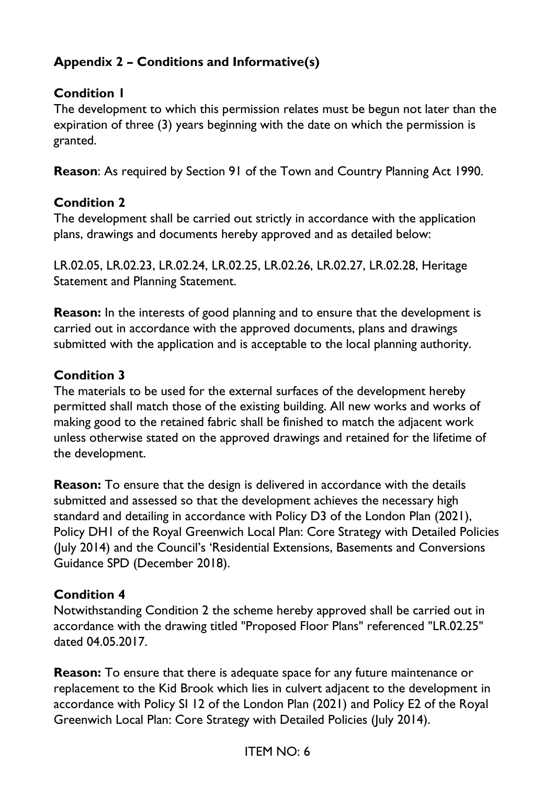# **Appendix 2 – Conditions and Informative(s)**

## **Condition 1**

The development to which this permission relates must be begun not later than the expiration of three (3) years beginning with the date on which the permission is granted.

**Reason**: As required by Section 91 of the Town and Country Planning Act 1990.

## **Condition 2**

The development shall be carried out strictly in accordance with the application plans, drawings and documents hereby approved and as detailed below:

LR.02.05, LR.02.23, LR.02.24, LR.02.25, LR.02.26, LR.02.27, LR.02.28, Heritage Statement and Planning Statement.

**Reason:** In the interests of good planning and to ensure that the development is carried out in accordance with the approved documents, plans and drawings submitted with the application and is acceptable to the local planning authority.

### **Condition 3**

The materials to be used for the external surfaces of the development hereby permitted shall match those of the existing building. All new works and works of making good to the retained fabric shall be finished to match the adjacent work unless otherwise stated on the approved drawings and retained for the lifetime of the development.

**Reason:** To ensure that the design is delivered in accordance with the details submitted and assessed so that the development achieves the necessary high standard and detailing in accordance with Policy D3 of the London Plan (2021), Policy DH1 of the Royal Greenwich Local Plan: Core Strategy with Detailed Policies (July 2014) and the Council's 'Residential Extensions, Basements and Conversions Guidance SPD (December 2018).

### **Condition 4**

Notwithstanding Condition 2 the scheme hereby approved shall be carried out in accordance with the drawing titled "Proposed Floor Plans" referenced "LR.02.25" dated 04.05.2017.

**Reason:** To ensure that there is adequate space for any future maintenance or replacement to the Kid Brook which lies in culvert adjacent to the development in accordance with Policy SI 12 of the London Plan (2021) and Policy E2 of the Royal Greenwich Local Plan: Core Strategy with Detailed Policies (July 2014).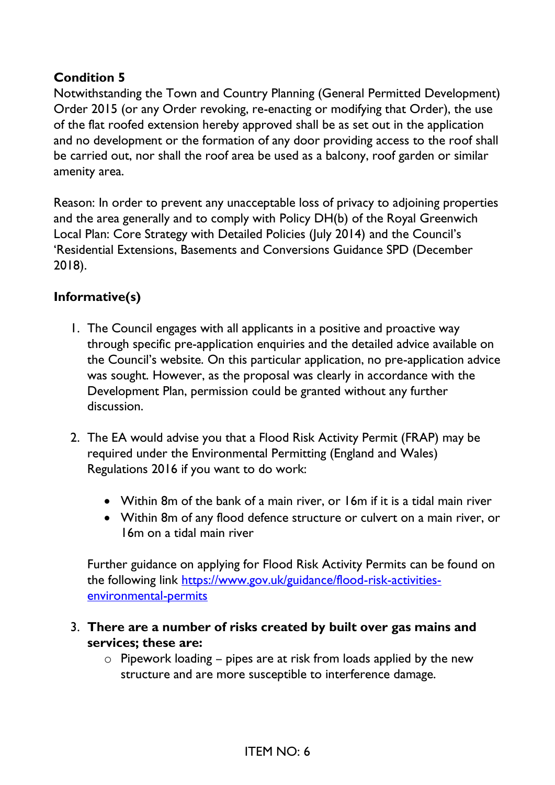## **Condition 5**

Notwithstanding the Town and Country Planning (General Permitted Development) Order 2015 (or any Order revoking, re-enacting or modifying that Order), the use of the flat roofed extension hereby approved shall be as set out in the application and no development or the formation of any door providing access to the roof shall be carried out, nor shall the roof area be used as a balcony, roof garden or similar amenity area.

Reason: In order to prevent any unacceptable loss of privacy to adjoining properties and the area generally and to comply with Policy DH(b) of the Royal Greenwich Local Plan: Core Strategy with Detailed Policies (July 2014) and the Council's 'Residential Extensions, Basements and Conversions Guidance SPD (December 2018).

## **Informative(s)**

- 1. The Council engages with all applicants in a positive and proactive way through specific pre-application enquiries and the detailed advice available on the Council's website. On this particular application, no pre-application advice was sought. However, as the proposal was clearly in accordance with the Development Plan, permission could be granted without any further discussion.
- 2. The EA would advise you that a Flood Risk Activity Permit (FRAP) may be required under the Environmental Permitting (England and Wales) Regulations 2016 if you want to do work:
	- Within 8m of the bank of a main river, or 16m if it is a tidal main river
	- Within 8m of any flood defence structure or culvert on a main river, or 16m on a tidal main river

Further guidance on applying for Flood Risk Activity Permits can be found on the following link [https://www.gov.uk/guidance/flood-risk-activities](https://www.gov.uk/guidance/flood-risk-activities-environmental-permits)[environmental-permits](https://www.gov.uk/guidance/flood-risk-activities-environmental-permits)

- 3. **There are a number of risks created by built over gas mains and services; these are:** 
	- $\circ$  Pipework loading pipes are at risk from loads applied by the new structure and are more susceptible to interference damage.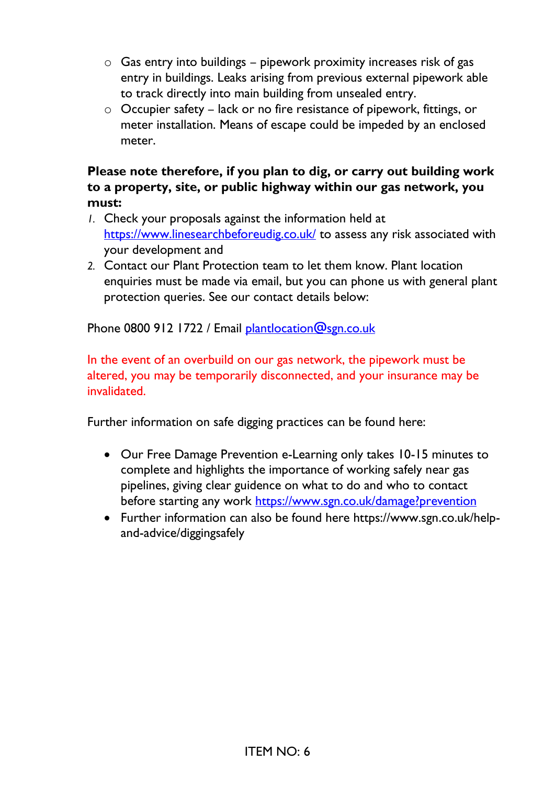- $\circ$  Gas entry into buildings pipework proximity increases risk of gas entry in buildings. Leaks arising from previous external pipework able to track directly into main building from unsealed entry.
- o Occupier safety lack or no fire resistance of pipework, fittings, or meter installation. Means of escape could be impeded by an enclosed meter.

### **Please note therefore, if you plan to dig, or carry out building work to a property, site, or public highway within our gas network, you must:**

- *1.* Check your proposals against the information held at <https://www.linesearchbeforeudig.co.uk/>to assess any risk associated with your development and
- *2.* Contact our Plant Protection team to let them know. Plant location enquiries must be made via email, but you can phone us with general plant protection queries. See our contact details below:

Phone 0800 912 1722 / Email [plantlocation@sgn.co.uk](mailto:plantlocation@sgn.co.uk)

In the event of an overbuild on our gas network, the pipework must be altered, you may be temporarily disconnected, and your insurance may be invalidated.

Further information on safe digging practices can be found here:

- Our Free Damage Prevention e-Learning only takes 10-15 minutes to complete and highlights the importance of working safely near gas pipelines, giving clear guidence on what to do and who to contact before starting any work<https://www.sgn.co.uk/damage?prevention>
- Further information can also be found here https://www.sgn.co.uk/helpand-advice/diggingsafely